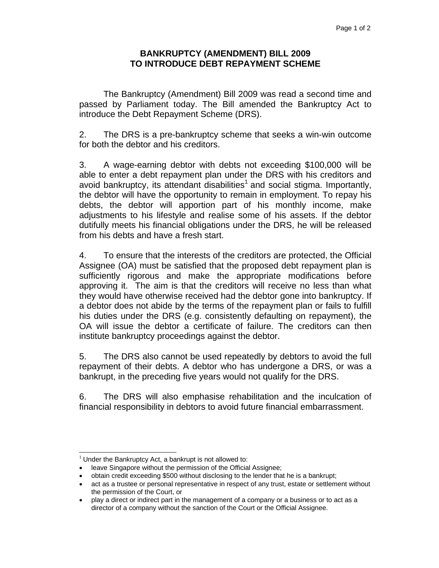## **BANKRUPTCY (AMENDMENT) BILL 2009 TO INTRODUCE DEBT REPAYMENT SCHEME**

 The Bankruptcy (Amendment) Bill 2009 was read a second time and passed by Parliament today. The Bill amended the Bankruptcy Act to introduce the Debt Repayment Scheme (DRS).

2. The DRS is a pre-bankruptcy scheme that seeks a win-win outcome for both the debtor and his creditors.

3. A wage-earning debtor with debts not exceeding \$100,000 will be able to enter a debt repayment plan under the DRS with his creditors and avoid bankruptcy, its attendant disabilities<sup>1</sup> and social stigma. Importantly, the debtor will have the opportunity to remain in employment. To repay his debts, the debtor will apportion part of his monthly income, make adjustments to his lifestyle and realise some of his assets. If the debtor dutifully meets his financial obligations under the DRS, he will be released from his debts and have a fresh start.

4. To ensure that the interests of the creditors are protected, the Official Assignee (OA) must be satisfied that the proposed debt repayment plan is sufficiently rigorous and make the appropriate modifications before approving it. The aim is that the creditors will receive no less than what they would have otherwise received had the debtor gone into bankruptcy. If a debtor does not abide by the terms of the repayment plan or fails to fulfill his duties under the DRS (e.g. consistently defaulting on repayment), the OA will issue the debtor a certificate of failure. The creditors can then institute bankruptcy proceedings against the debtor.

5. The DRS also cannot be used repeatedly by debtors to avoid the full repayment of their debts. A debtor who has undergone a DRS, or was a bankrupt, in the preceding five years would not qualify for the DRS.

6. The DRS will also emphasise rehabilitation and the inculcation of financial responsibility in debtors to avoid future financial embarrassment.

 $\overline{a}$  $1$  Under the Bankruptcy Act, a bankrupt is not allowed to:

<sup>•</sup> leave Singapore without the permission of the Official Assignee;

<sup>•</sup> obtain credit exceeding \$500 without disclosing to the lender that he is a bankrupt;

<sup>•</sup> act as a trustee or personal representative in respect of any trust, estate or settlement without the permission of the Court, or

<sup>•</sup> play a direct or indirect part in the management of a company or a business or to act as a director of a company without the sanction of the Court or the Official Assignee.